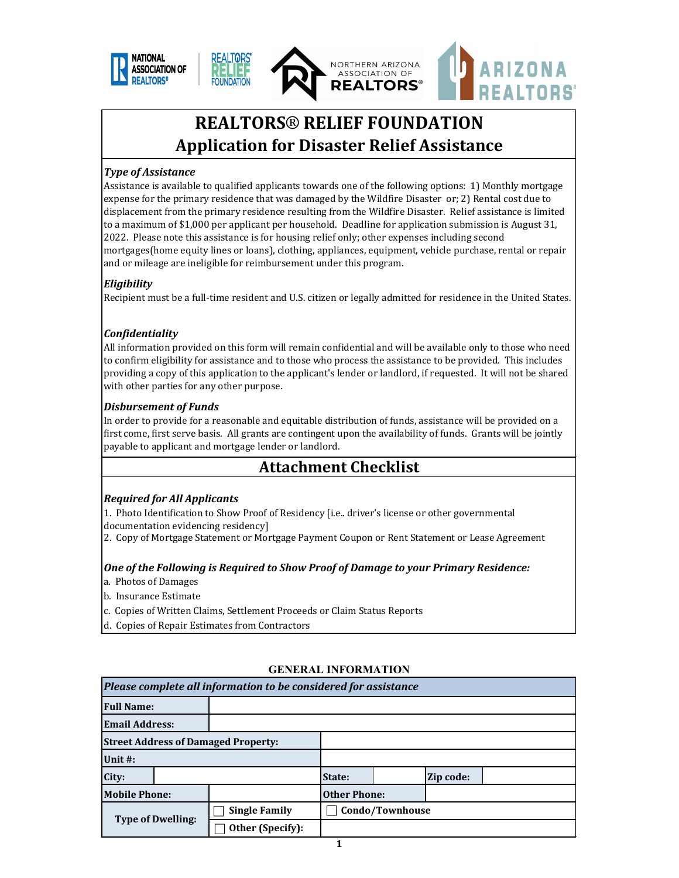





RIZONA

# **REALTORS® RELIEF FOUNDATION Application for Disaster Relief Assistance**

#### *Type of Assistance*

Assistance is available to qualified applicants towards one of the following options: 1) Monthly mortgage expense for the primary residence that was damaged by the Wildfire Disaster or; 2) Rental cost due to displacement from the primary residence resulting from the Wildfire Disaster. Relief assistance is limited to a maximum of \$1,000 per applicant per household. Deadline for application submission is August 31, 2022. Please note this assistance is for housing relief only; other expenses including second mortgages(home equity lines or loans), clothing, appliances, equipment, vehicle purchase, rental or repair and or mileage are ineligible for reimbursement under this program.

#### *Eligibility*

Recipient must be a full-time resident and U.S. citizen or legally admitted for residence in the United States.

#### *Confidentiality*

All information provided on this form will remain confidential and will be available only to those who need to confirm eligibility for assistance and to those who process the assistance to be provided. This includes providing a copy of this application to the applicant's lender or landlord, if requested. It will not be shared with other parties for any other purpose.

#### *Disbursement of Funds*

In order to provide for a reasonable and equitable distribution of funds, assistance will be provided on a first come, first serve basis. All grants are contingent upon the availability of funds. Grants will be jointly payable to applicant and mortgage lender or landlord.

# **Attachment Checklist**

#### *Required for All Applicants*

1. Photo Identification to Show Proof of Residency [i.e.. driver's license or other governmental documentation evidencing residency]

2. Copy of Mortgage Statement or Mortgage Payment Coupon or Rent Statement or Lease Agreement

#### *One of the Following is Required to Show Proof of Damage to your Primary Residence:*

- a. Photos of Damages
- b. Insurance Estimate
- c. Copies of Written Claims, Settlement Proceeds or Claim Status Reports
- d. Copies of Repair Estimates from Contractors

| Please complete all information to be considered for assistance |  |                                            |                 |  |           |  |
|-----------------------------------------------------------------|--|--------------------------------------------|-----------------|--|-----------|--|
| <b>Full Name:</b>                                               |  |                                            |                 |  |           |  |
| <b>Email Address:</b>                                           |  |                                            |                 |  |           |  |
|                                                                 |  | <b>Street Address of Damaged Property:</b> |                 |  |           |  |
| Unit #:                                                         |  |                                            |                 |  |           |  |
| City:                                                           |  |                                            | State:          |  | Zip code: |  |
| <b>Mobile Phone:</b>                                            |  | <b>Other Phone:</b>                        |                 |  |           |  |
| <b>Type of Dwelling:</b>                                        |  | <b>Single Family</b>                       | Condo/Townhouse |  |           |  |
|                                                                 |  | Other (Specify):                           |                 |  |           |  |

#### **GENERAL INFORMATION**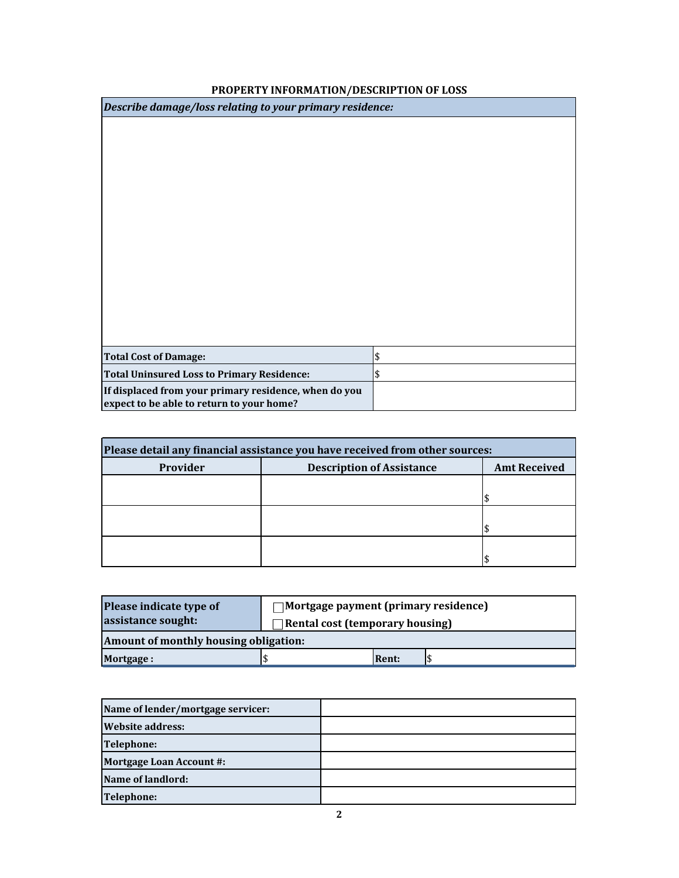| Describe damage/loss relating to your primary residence: |               |  |
|----------------------------------------------------------|---------------|--|
|                                                          |               |  |
|                                                          |               |  |
|                                                          |               |  |
|                                                          |               |  |
|                                                          |               |  |
|                                                          |               |  |
|                                                          |               |  |
|                                                          |               |  |
|                                                          |               |  |
|                                                          |               |  |
|                                                          |               |  |
|                                                          |               |  |
|                                                          |               |  |
| <b>Total Cost of Damage:</b>                             | \$            |  |
| <b>Total Uninsured Loss to Primary Residence:</b>        | $\frac{1}{2}$ |  |
| If displaced from your primary residence, when do you    |               |  |
| expect to be able to return to your home?                |               |  |

### **PROPERTY INFORMATION/DESCRIPTION OF LOSS**

| Please detail any financial assistance you have received from other sources: |  |  |  |  |
|------------------------------------------------------------------------------|--|--|--|--|
| Provider<br><b>Description of Assistance</b><br><b>Amt Received</b>          |  |  |  |  |
|                                                                              |  |  |  |  |
|                                                                              |  |  |  |  |
|                                                                              |  |  |  |  |
|                                                                              |  |  |  |  |
|                                                                              |  |  |  |  |
|                                                                              |  |  |  |  |

| Please indicate type of               | $\Box$ Mortgage payment (primary residence) |                                 |  |  |
|---------------------------------------|---------------------------------------------|---------------------------------|--|--|
| assistance sought:                    |                                             | Rental cost (temporary housing) |  |  |
| Amount of monthly housing obligation: |                                             |                                 |  |  |
| <b>Mortgage:</b>                      |                                             | <b>Rent:</b>                    |  |  |

| Name of lender/mortgage servicer: |  |
|-----------------------------------|--|
| <b>Website address:</b>           |  |
| Telephone:                        |  |
| <b>Mortgage Loan Account #:</b>   |  |
| Name of landlord:                 |  |
| <b>Telephone:</b>                 |  |